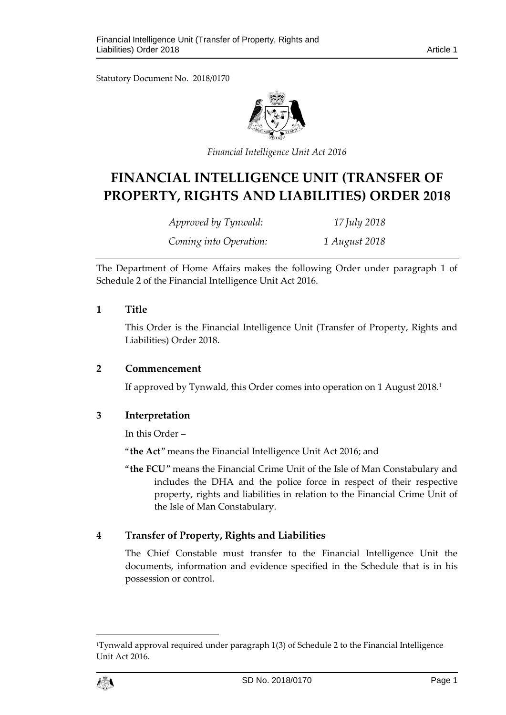Statutory Document No. 2018/0170



*Financial Intelligence Unit Act 2016*

# **FINANCIAL INTELLIGENCE UNIT (TRANSFER OF PROPERTY, RIGHTS AND LIABILITIES) ORDER 2018**

| Approved by Tynwald:   | 17 July 2018  |
|------------------------|---------------|
| Coming into Operation: | 1 August 2018 |

The Department of Home Affairs makes the following Order under paragraph 1 of Schedule 2 of the Financial Intelligence Unit Act 2016.

#### **1 Title**

This Order is the Financial Intelligence Unit (Transfer of Property, Rights and Liabilities) Order 2018.

#### **2 Commencement**

If approved by Tynwald, this Order comes into operation on 1 August 2018. 1

### **3 Interpretation**

In this Order –

"**the Act**" means the Financial Intelligence Unit Act 2016; and

"**the FCU**" means the Financial Crime Unit of the Isle of Man Constabulary and includes the DHA and the police force in respect of their respective property, rights and liabilities in relation to the Financial Crime Unit of the Isle of Man Constabulary.

# **4 Transfer of Property, Rights and Liabilities**

The Chief Constable must transfer to the Financial Intelligence Unit the documents, information and evidence specified in the Schedule that is in his possession or control.

 $\overline{a}$ 

<sup>1</sup>Tynwald approval required under paragraph 1(3) of Schedule 2 to the Financial Intelligence Unit Act 2016.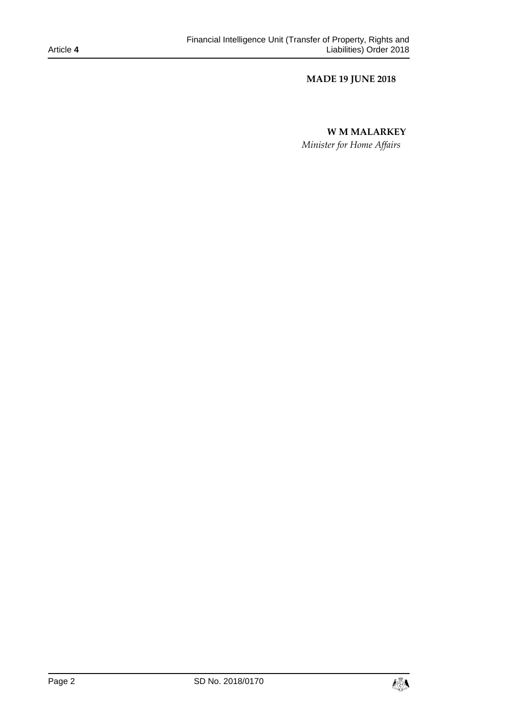#### **MADE 19 JUNE 2018**

### **W M MALARKEY**

*Minister for Home Affairs*

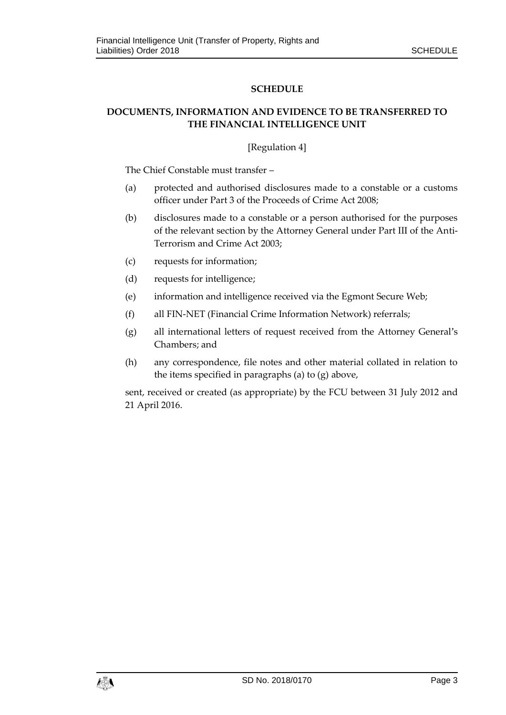## **SCHEDULE**

## **DOCUMENTS, INFORMATION AND EVIDENCE TO BE TRANSFERRED TO THE FINANCIAL INTELLIGENCE UNIT**

[Regulation 4]

The Chief Constable must transfer –

- (a) protected and authorised disclosures made to a constable or a customs officer under Part 3 of the Proceeds of Crime Act 2008;
- (b) disclosures made to a constable or a person authorised for the purposes of the relevant section by the Attorney General under Part III of the Anti-Terrorism and Crime Act 2003;
- (c) requests for information;
- (d) requests for intelligence;
- (e) information and intelligence received via the Egmont Secure Web;
- (f) all FIN-NET (Financial Crime Information Network) referrals;
- (g) all international letters of request received from the Attorney General's Chambers; and
- (h) any correspondence, file notes and other material collated in relation to the items specified in paragraphs (a) to (g) above,

sent, received or created (as appropriate) by the FCU between 31 July 2012 and 21 April 2016.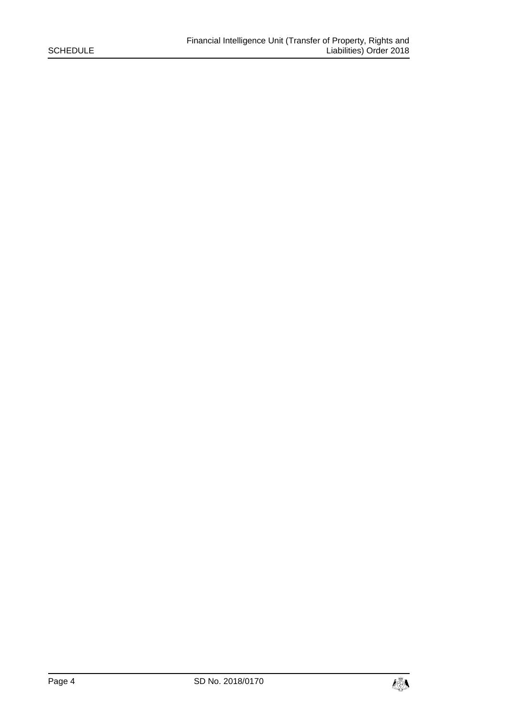